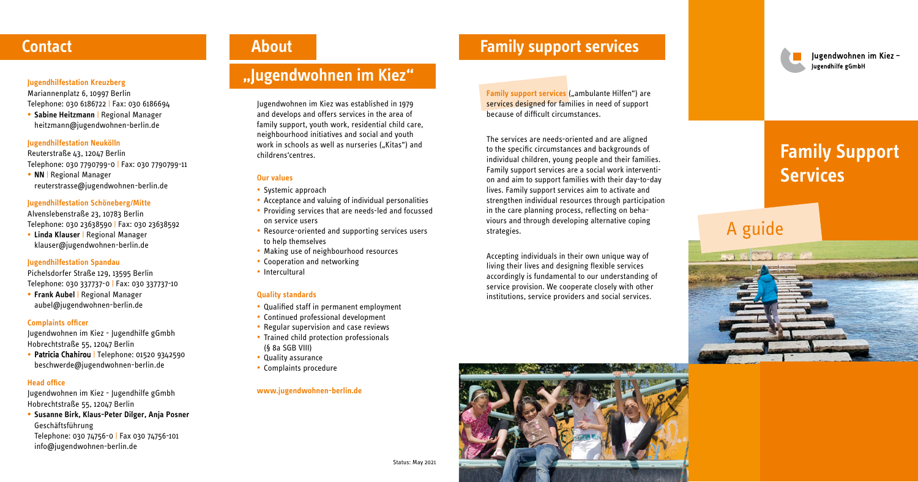# **Family Support Services**

- Systemic approach
- Acceptance and valuing of individual personalities
- Providing services that are needs-led and focussed on service users
- Resource-oriented and supporting services users to help themselves
- Making use of neighbourhood resources
- Cooperation and networking
- Intercultural

Jugendwohnen im Kiez was established in 1979 and develops and offers services in the area of family support, youth work, residential child care, neighbourhood initiatives and social and youth work in schools as well as nurseries ("Kitas") and childrens'centres.

### **Our values**

### **Quality standards**

- Qualified staff in permanent employment
- Continued professional development
- Regular supervision and case reviews
- Trained child protection professionals (§ 8a SGB VIII)
- Quality assurance
- Complaints procedure

### **www.jugendwohnen-berlin.de**

## **Contact About Example 2018 Example 2018 Family support services**

# A guide

## **"Jugendwohnen im Kiez"**



Iugendwohnen im Kiezlugendhilfe gGmbH

### **Jugendhilfestation Kreuzberg**

Mariannenplatz 6, 10997 Berlin Telephone: 030 6186722 | Fax: 030 6186694 **Family support services** ("ambulante Hilfen") are services designed for families in need of support because of difficult circumstances.

**• Sabine Heitzmann** | Regional Manager heitzmann@jugendwohnen-berlin.de

### **Jugendhilfestation Neukölln**

Reuterstraße 43, 12047 Berlin Telephone: 030 7790799-0 | Fax: 030 7790799-11

**• NN** | Regional Manager reuterstrasse@jugendwohnen-berlin.de

### **Jugendhilfestation Schöneberg/Mitte**

Alvenslebenstraße 23, 10783 Berlin Telephone: 030 23638590 | Fax: 030 23638592 **• Linda Klauser** | Regional Manager klauser@jugendwohnen-berlin.de

### **Jugendhilfestation Spandau**

Pichelsdorfer Straße 129, 13595 Berlin Telephone: 030 337737-0 | Fax: 030 337737-10

**• Frank Aubel** | Regional Manager aubel@jugendwohnen-berlin.de

### **Complaints officer**

Jugendwohnen im Kiez - Jugendhilfe gGmbh Hobrechtstraße 55, 12047 Berlin

**•** Patricia Chahirou | Telephone: 01520 9342590 beschwerde@jugendwohnen-berlin.de

### **Head office**

Jugendwohnen im Kiez - Jugendhilfe gGmbh Hobrechtstraße 55, 12047 Berlin

**• Susanne Birk, Klaus-Peter Dilger, Anja Posner** Geschäftsführung Telephone: 030 74756-0 | Fax 030 74756-101

info@jugendwohnen-berlin.de

The services are needs-oriented and are aligned to the specific circumstances and backgrounds of individual children, young people and their families. Family support services are a social work intervention and aim to support families with their day-to-day lives. Family support services aim to activate and strengthen individual resources through participation in the care planning process, reflecting on behaviours and through developing alternative coping strategies.

Accepting individuals in their own unique way of living their lives and designing flexible services accordingly is fundamental to our understanding of service provision. We cooperate closely with other institutions, service providers and social services.